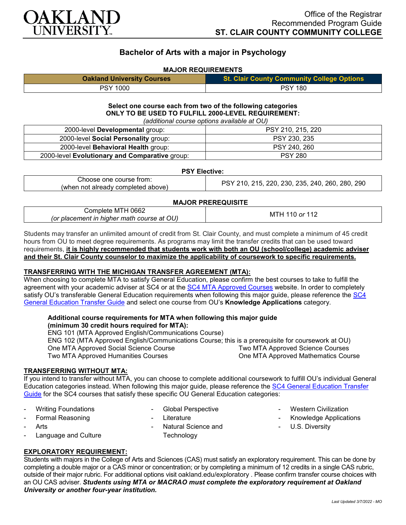

## **Bachelor of Arts with a major in Psychology**

### **MAJOR REQUIREMENTS**

| <b>Oakland University Courses</b> | St. Clair County Community College Options |
|-----------------------------------|--------------------------------------------|
| <b>PSY 1000</b>                   | <b>PSY 180</b>                             |

#### **Select one course each from two of the following categories ONLY TO BE USED TO FULFILL 2000-LEVEL REQUIREMENT:** *(additional course options available at OU)*

| raaditional oodroo optiono avaliablo at OO,    |                   |  |
|------------------------------------------------|-------------------|--|
| 2000-level Developmental group:                | PSY 210, 215, 220 |  |
| 2000-level Social Personality group:           | PSY 230, 235      |  |
| 2000-level Behavioral Health group:            | PSY 240, 260      |  |
| 2000-level Evolutionary and Comparative group: | <b>PSY 280</b>    |  |

#### **PSY Elective:**

| Choose one course from:            | , 215, 220, 230, 235, 240, 260, 280, 290<br><b>PSY 210.</b> |
|------------------------------------|-------------------------------------------------------------|
| (when not already completed above) |                                                             |

#### **MAJOR PREREQUISITE**

| Complete MTH 0662                          | $\cdot$ or 11 <sup><math>\cdot</math></sup> |
|--------------------------------------------|---------------------------------------------|
| (or placement in higher math course at OU) | <b>MIE</b>                                  |
|                                            |                                             |

Students may transfer an unlimited amount of credit from St. Clair County, and must complete a minimum of 45 credit hours from OU to meet degree requirements. As programs may limit the transfer credits that can be used toward requirements, **it is highly recommended that students work with both an OU (school/college) academic adviser and their St. Clair County counselor to maximize the applicability of coursework to specific requirements.**

#### **TRANSFERRING WITH THE MICHIGAN TRANSFER AGREEMENT (MTA):**

When choosing to complete MTA to satisfy General Education, please confirm the best courses to take to fulfill the agreement with your academic adviser at SC4 or at the [SC4 MTA Approved Courses](https://sc4.edu/admissions/transferring-after-sc4/michigan-transfer-agreement/) website. In order to completely satisfy OU's transferable General Education requirements when following this major guide, please reference the SC4 [General Education Transfer Guide](https://wwwp.oakland.edu/Assets/Oakland/program-guides/st-clair-county-community-college/university-general-education-requirements/SC4%20Gen%20Ed.pdf) and select one course from OU's **Knowledge Applications** category.

## **Additional course requirements for MTA when following this major guide**

**(minimum 30 credit hours required for MTA):** ENG 101 (MTA Approved English/Communications Course) ENG 102 (MTA Approved English/Communications Course; this is a prerequisite for coursework at OU) One MTA Approved Social Science Course Two MTA Approved Humanities Courses Two MTA Approved Science Courses One MTA Approved Mathematics Course

#### **TRANSFERRING WITHOUT MTA:**

If you intend to transfer without MTA, you can choose to complete additional coursework to fulfill OU's individual General Education categories instead. When following this major guide, please reference the [SC4 General Education Transfer](https://wwwp.oakland.edu/Assets/Oakland/program-guides/st-clair-county-community-college/university-general-education-requirements/SC4%20Gen%20Ed.pdf)  [Guide](https://wwwp.oakland.edu/Assets/Oakland/program-guides/st-clair-county-community-college/university-general-education-requirements/SC4%20Gen%20Ed.pdf) for the SC4 courses that satisfy these specific OU General Education categories:

- Writing Foundations
- Formal Reasoning
- **Arts**
- Language and Culture
- Global Perspective
- Literature
- Natural Science and **Technology**
- Western Civilization
- Knowledge Applications
- U.S. Diversity

# **EXPLORATORY REQUIREMENT:**

Students with majors in the College of Arts and Sciences (CAS) must satisfy an exploratory requirement. This can be done by completing a double major or a CAS minor or concentration; or by completing a minimum of 12 credits in a single CAS rubric, outside of their major rubric. For additional options visit [oakland.edu/exploratory](http://www.oakland.edu/exploratory) . Please confirm transfer course choices with an OU CAS adviser. *Students using MTA or MACRAO must complete the exploratory requirement at Oakland University or another four-year institution.*